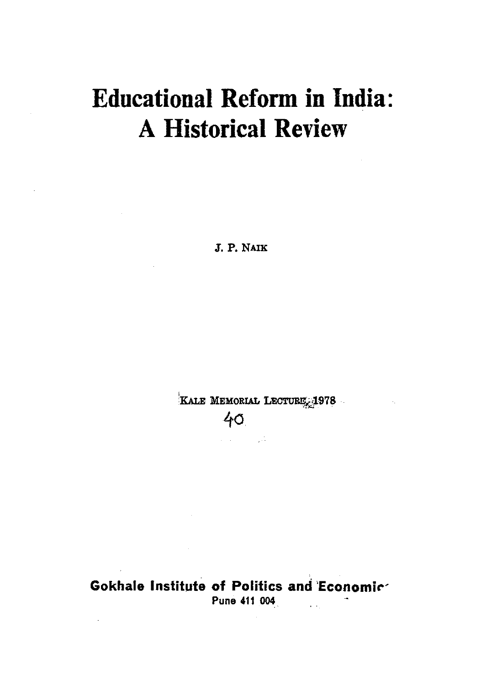# **Educational Reform in India: A Historical Review**

J. P. NAIK

KALE MEMORIAL LECTURE 1978

 $\sim 10^{11}$  m  $^{-1}$ 

40

الأنواب المتعالم

**Gokhale Institute of Politics and Economic** Pune 411 004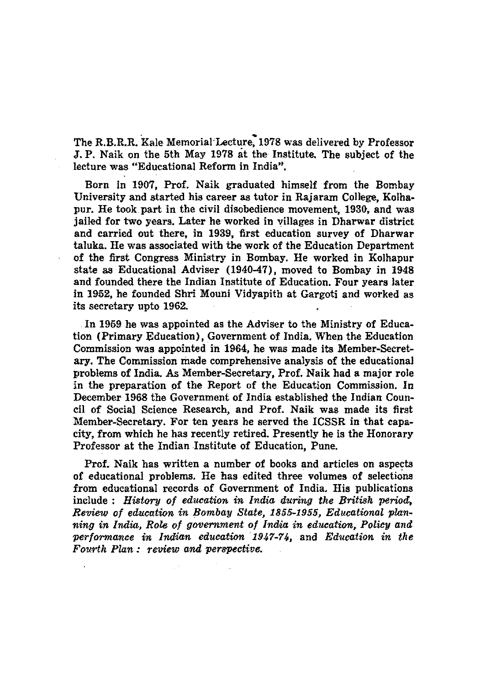The R.B.R.R. Kale Memorial'Lecture: 1978 was delivered by Professor J. P. Naik on the 5th May 1978 at the Institute. The subject of the lecture was "Educational Reform in India".

Born in 1907, Prof. Naik graduated himself from the Bombay University and started his career as tutor in Rajaram College, Kolhapur. He took part in the civil disobedience movement, 1930, and was jailed for two years. Later he worked in villages in Dharwar district and carried out there, in 1939, first education survey of Dharwar taluka. He was associated with the work of the Education Department of the first Congress Ministry in Bombay, He worked in Kolhapur state as Educational Adviser (1940-47), moved to Bombay in 1948 and founded there the Indian Institute of Education. Four years later in 1952, he founded Shri Mouni Vidyapith at Gargoti and worked as its secretary upto 1962.

In 1959 he was appointed as the Adviser to the Ministry of Education (Primary Education), Government of India. When the Education Commission was appointed in 1964, he was made its Member-Secret. ary. The Commission made comprehensive analysis of the educational problems of India. As Member-Secretary, Prof. Naik had a major role in the preparation of the Report of the Education Commission. In December 1968 the Government of India established the Indian Council of Social Science Research, and Prof. Naik was made its first Member-Secretary. For ten years he served the ICSSR in that capacity, from which he has recently retired. Presently he is the Honorary Professor at the Indian Institute of Education, Pune.

Prof. Naik has written a number of books and articles on aspects of educational problems. He has edited three volumes of selections from educational records of Government of India. His publications include: *History of edueation in India during the British period:, Review of edueation in Bombay State,* 1855-1955, *Educational planning in India, Role of government of India in education, Policy and performance in Indian education 1947-74*, and *Education in the Fourth Plan: review and perspective.*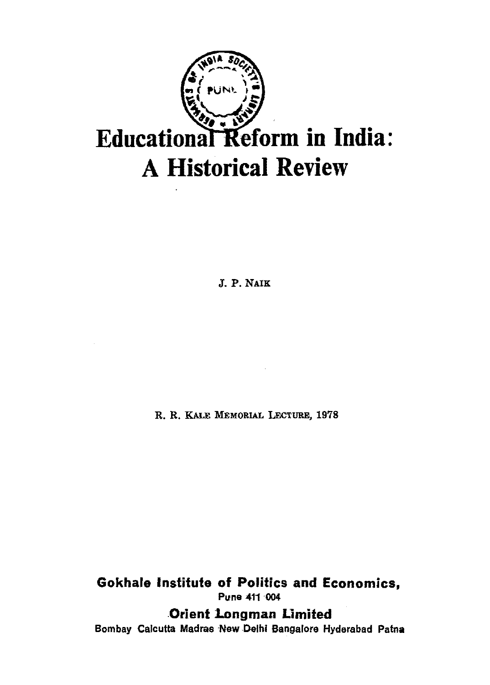

J. P. NAIK

R. R. KALE MEMORIAL LEcTURE, 1978

**Gokhale Institute of Politics and Economics,**  Puna *411004* 

**Orient 1.ongman Limited** 

Bombay Calcutta Madras New Delhi Bangalore Hyderabad Patna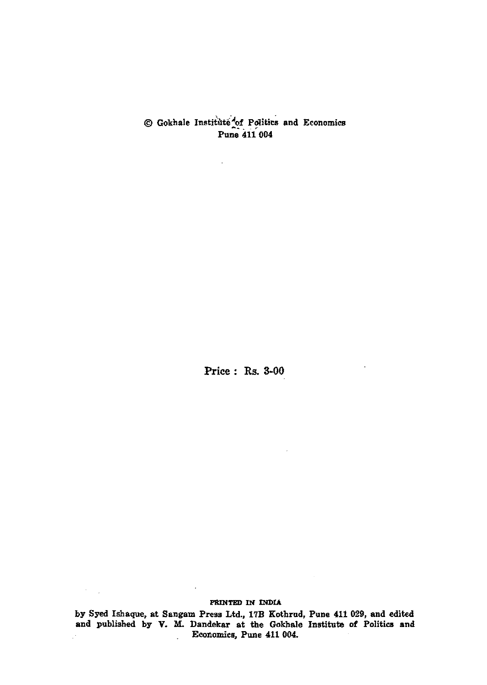@ Gokhale Institi'1te"'/of Po1iti~ and Economics -~ . - .. Pune 411 004

l,

Price: Rs. 3-00

#### PRINTED IN INDIA

 $\mathcal{F}=\mathcal{F}$ 

by Syed Ishaque, at Sangam Press Ltd., 17B Kothrud, Pune 411 029, and edited and published by V. M. Dandekar at the Gokhale Institute of Politics and Economies, Pune 411 004.  $\ddot{\phantom{a}}$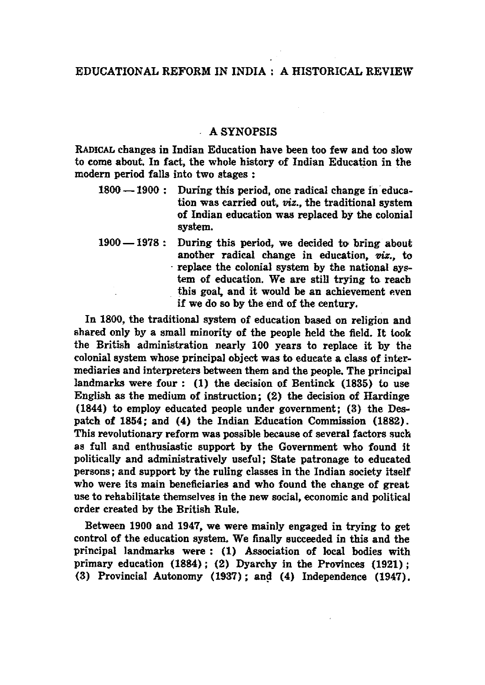# EDUCATIONAL REFORM IN INDIA: A HISTORICAL REVIEW

# A SYNOPSIS

RADICAL changes in Indian Education have been too few and too slow to come about. In fact, the whole history of Indian Education in the modern period falls into two stages :

- 1800 -1900 : During this period, one radical change in education was carried out, *viz.,* the traditional system of Indian education was replaced by the colonial system.
- 1900 1978: During this period, we decided to bring about another radical change in education, *viz.,* to . replace the colonial system by the national sy~ tern of education. We are still trying to reach this goal, and it would be an achievement even if we do so by the end of the century.

In 1800, the traditional system of education based on religion and shared only by a small minority of the people held the field. It look the British administration nearly 100 years to replace it by the colonial system whose principal object was to educate a class of intermediaries and interpreters between them and the people. The principal landmarks were four: (1) the decision of Bentinck (1835) to use English as the medium of instruction; (2) the decision of Hardinge (1844) to employ educated people under government; (3) the Despatch of 1854; and (4) the Indian Education Commission (1882). This revolutionary reform was possible because of several factors such as full and enthusiastic support by the Government who found it politically and administratively useful; State patronage to educated persons; and support by the ruling classes in the Indian society itself who were its main beneficiaries and who found the change of great use to rehabilitate themselves in the new social, economic and political order created by the British Rule.

Between 1900 and 1947, we were mainly engaged in trying to get control of the education system. We finally succeeded in this and the principal landmarks were: (1) Association of local bodies with primary education (1884); (2) Dyarchy in the Provinces (1921); (3) Provincial Autonomy  $(1937)$ ; and  $(4)$  Independence  $(1947)$ .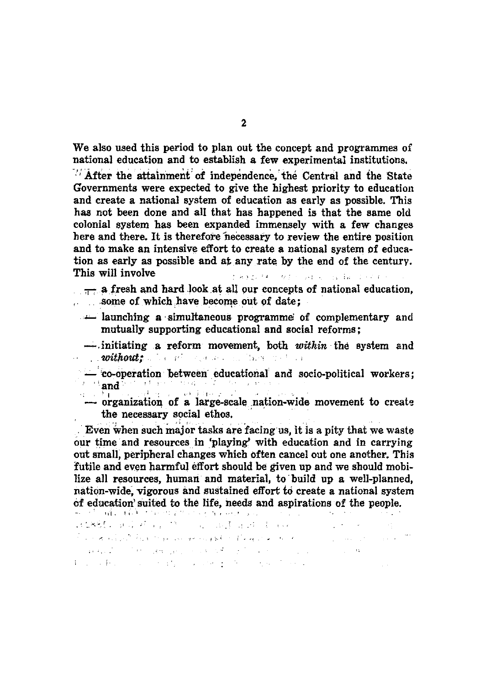We also used this period to plan out the concept and programmes of national education and to establish a few experimental institutions.

After the attainment of independence, the Central and the State Governments were expected to give the highest priority to education and create a national system of education as early as possible. This has not been done and all that has happened is that the same old colonial system has been expanded immensely with a few changes here and there. It is therefore necessary to review the entire position and to make an intensive effort to create a national system of education as early as possible and at any rate by the end of the century. This will involve

theory of a control set of the problem of

- $\frac{1}{\sqrt{1-x^2}}$  a fresh and hard look at all our concepts of national education, some of which have become out of date:
	- **Interest and interest in the complementary** and mutually supporting educational and social reforms;
	- -initiating a reform movement, both within the system and without: The process of the fact that the
	- co-operation between educational and socio-political workers;  $\frac{1}{4}$  ,  $\frac{1}{2}$  and  $\frac{3}{4}$  and  $\frac{1}{4}$  and  $\frac{1}{4}$  and  $\frac{1}{4}$  and  $\frac{1}{4}$  and  $\frac{1}{4}$  $\mathbb{Z}_{q}$  .  $\sim 10^{-1}$  M  $^2$ ak Para 2021
	- organization of a large-scale nation-wide movement to create the necessary social ethos.

Even when such major tasks are facing us, it is a pity that we waste our time and resources in 'playing' with education and in carrying out small, peripheral changes which often cancel out one another. This futile and even harmful effort should be given up and we should mobilize all resources, human and material, to build up a well-planned. nation-wide, vigorous and sustained effort to create a national system of education suited to the life, needs and aspirations of the people.

计编辑 医尿病病 医二次 电基准器 电视 For a climate his server we could be the good as the com- $\mathcal{L}_{\text{max}}$  and  $\mathcal{L}_{\text{max}}$  and  $\mathcal{L}_{\text{max}}$  $\alpha$  and  $\alpha$  is the stronger, we assume that the stronger of the stronger of the stronger of the stronger of the stronger of the stronger of the stronger of the stronger of the stronger of the stronger of the stronger of  $\mathcal{L}^{\text{max}}_{\text{max}}$  and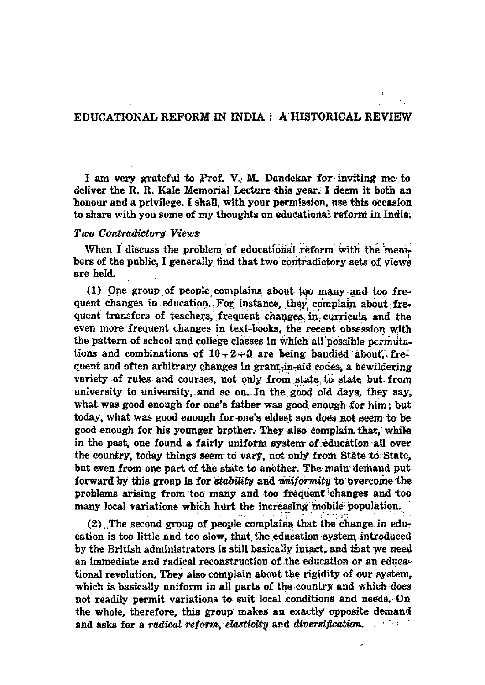# EDUCATIONAL REFORM IN INDIA : A HISTORICAL REVIEW

I am very grateful to Prof. V. M. Dandekar for inviting me to deliver the R. R. Kale Memorial Lecture this year. I deem it both an honour and a privilege. I shall, with your permission, use this occasion to share with you some of my thoughts on educational reform in India.

# Two Contradictory Views

When I discuss the problem of educational reform with the members of the public, I generally find that two contradictory sets of views are held.

(1) One group of people complains about too many and too frequent changes in education. For instance, they complain about frequent transfers of teachers, frequent changes in curricula and the even more frequent changes in text-books, the recent obsession with the pattern of school and college classes in which all possible permutations and combinations of  $10+2+3$  are being bandied about. frequent and often arbitrary changes in grant-in-aid codes, a bewildering variety of rules and courses, not only from state to state but from university to university, and so on. In the good old days, they say, what was good enough for one's father was good enough for him: but today, what was good enough for one's eldest son does not seem to be good enough for his younger brother. They also complain that, while in the past, one found a fairly uniform system of education all over the country, today things seem to vary, not only from State to State, but even from one part of the state to another. The main demand put forward by this group is for *stability* and *uniformity* to overcome the problems arising from too many and too frequent changes and too many local variations which hurt the increasing mobile population.

(2) The second group of people complains that the change in education is too little and too slow, that the education system introduced by the British administrators is still basically intact, and that we need an immediate and radical reconstruction of the education or an educational revolution. They also complain about the rigidity of our system. which is basically uniform in all parts of the country and which does not readily permit variations to suit local conditions and needs. On the whole, therefore, this group makes an exactly opposite demand and asks for a radical reform, elasticity and diversification.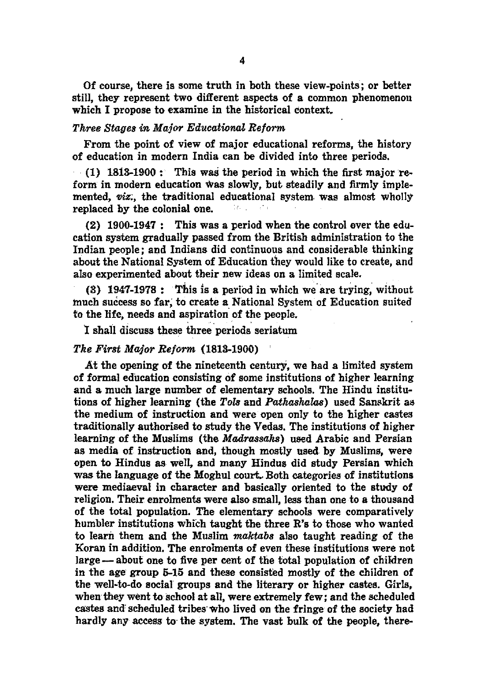Of course, there is some truth in both these view-points; or better still, they represent two different aspects of a common phenomenon which I propose to examine in the historical context.

#### *Three Stages in Major Educationat Reform*

From the point of view of major educational reforms, the history of education in modern India can be divided into three periods .

 $(1)$  1813-1900: This was the period in which the first major reform in modern education was slowly, but steadily and firmly implemented, *viz*, the traditional educational system was almost wholly replaced by the colonial one.

(2) 1900-1947: This was a period when the control over the education system gradually passed from the British administration to the Indian people; and Indians did continuous and considerable thinking about the National System of Education they would like to create, and also experimented about their new ideas on a limited scale.

(3) 1947-1978: This is a period in which we' are trying, without much success so far, to create a National System of Education suited to the life, needs and aspiration of the people.

1 shall discuss these three periods seriatum

# *The First Major Reform* (1818-1900) ,

At the opening of the nineteenth century, we had a limited system of formal education consisting of some institutions of higher learning and a much large number of elementary schools. The Hindu institutions of higher learning (the *Tols* and *Pathashalas*) used Sanskrit as the medium of instruction and were open only to the higher castes traditionally authorised to study the Vedas. The institutions of higher learning of the Muslims (the *Madrassahs)* used Arabic and Persian as media of instruction and, though mostly used by Muslims, were open to Hindus as well, and many Hindus did study Persian which was the language of the Moghul court. Both categories of institutions were mediaeval in character and basically oriented to the study of religion. Their enrolments were also small, Jess than one to a thousand of the total population. The elementary schools were comparatively humbler institutions which taught the three R's to those who wanted to learn them and the Muslim *maktabs* also taught reading of the Koran in addition. The enrolments of even these institutions were not large—about one to five per cent of the total population of children in the age' group 5-15 and these consisted mostly of the children of the well-to-do Bocial groups and the literary or higher castes. Girls, when they went to school at all, were extremely few; and the scheduled castes and'scheduled tribes'who lived on the fringe of the society had hardly any access to the system. The vast bulk of the people, there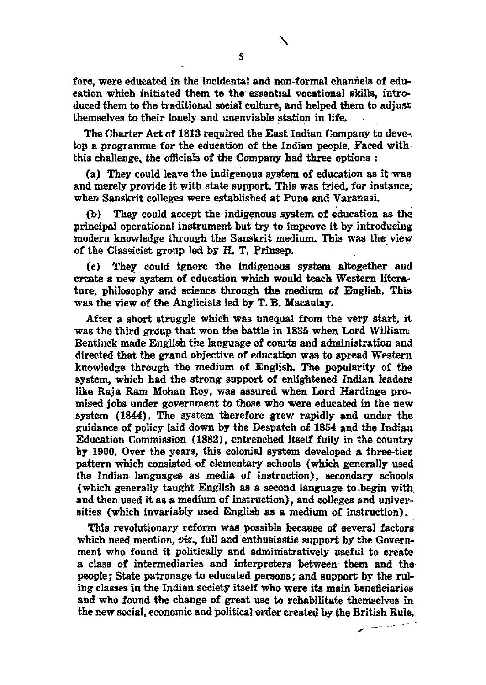fore, were educated in the incidental and non-formal channels of education which initiated them to the- essential vocational skills, introduced them to the traditional social culture, and helped them to adjust themselves to their lonely and unenviable station in life.

The Charter Act of 1813 required the East Indian Company to deve-, lop a programme for the education of the Indian people. Faced with this challenge, the officials of the Company had three options :

(a) They could leave the indigenous system of education as it was and merely provide it with state support. This was tried, for instance; when Sanskrit colleges were established at Pune and Varanasi.

(b) They could accept the indigenous system of education as the principal operational instrument but try to improve it by introducing: modern knowledge through the Sanskrit medium. This was the view of the Classicist group led by H. T. Prinsep.

(c) They could ignore the indigenous system altogether and create a new system of education which would teach Western literature, philosophy and science through the medium of English. This was the view of the Anglicists led by T. B. Macaulay,

After a short struggle which was unequal from the very start, it was the third group that won the battle in 1835 when Lord William Bentinck made English the language of courts and administration and directed that the grand objective of education was to spread Western knowledge through the medium of English. The popularity of the system, which had the strong support of enlightened Indian leaders like Raja Ram Mohan Roy, was assured when Lord Hardinge promised jobs under government to those who were educated in the new system (1844). The system therefore grew rapidly and under the guidance of policy laid down by the Despatch of 1854 and the Indian Education Commission (1882), entrenched itself fully in the country by 1900. Over the years, this colonial system developed a three-tier. pattern which consisted of elementary schools (which generally used the Indian languages as media of instruction), secondary schoois (which generally taught English as a second language to,begin with and then nsed it as a medium of instruction), and colleges and universities (which invariably used English as a medium of instruction).

This revolutionary reform was possible because of several factors which need mention, *viz.*, full and enthusiastic support by the Government who found it politically and administratively useful to create a class of intermediaries and interpreters between them and the people; State patronage to educated persons; and support by the ruling classes in the Indian society itself who were its main beneficiaries and who found the change of great use to rehabilitate themselves in the new social, economic and political order created by the British Rule.

╲

-- - -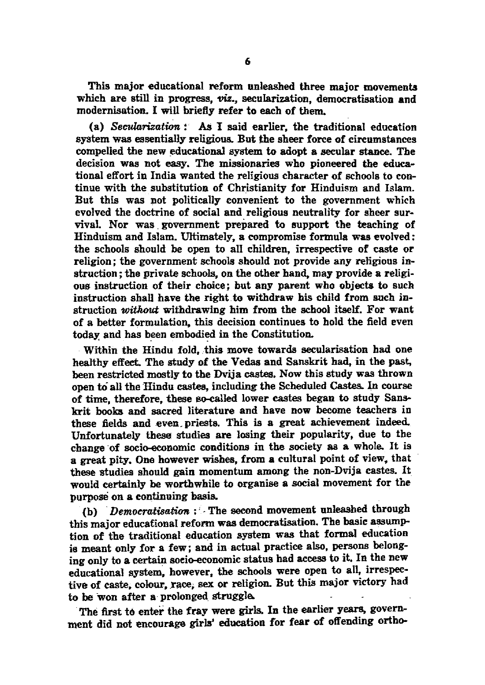This major educational reform unleashed three major movements which are still in progress,  $viz$ , secularization, democratisation and modernisation. I will briefly refer to each of them.

(a) *Secularization:* As I said earlier, the traditional education system was essentially religious. But the sheer force of circumstances compelled the new educational system to adopt a secular stance. The decision was not easy. The missionaries who pioneered the educational effort in India wanted the religious character of schools to continue with the substitution of Christianity for Hinduism and Islam. But this was not politically convenient to the government which evolved the doctrine of social and religious neutrality for sheer survival. Nor was. government prepared to support the teaching of Hinduism and Islam. Ultimately, a compromise formula was evolved: the schools should be open to all children, irrespective of caste or religion; the government schools should not provide any religions instruction; the private schools, on the other hand, may provide a religious instruction of their choice; but any parent who objects to such instruction shall have the right to withdraw his child from such instruction *without* withdrawing him from the school itself. For want of a better formulation. this decision continues to hold the field even today and has been embodied in the Constitution.

Within the Hindu fold, this move towards secularisation had one healthy effect. The study of the Vedas and Sanskrit had, in the past, been restricted mostly to the Dvija castes. Now this study was thrown open to all the Hindu castes, including the Scheduled Castes. In course of time, therefore, these so-called lower castes began to study Sanskrit books and sacred literature and have now become teachers in these fields and even priests. This is a great achievement indeed. Unfortunately these studies are losing their popularity, due to the change of soeio-eeonomic conditions in the society as a whole. It is a great pity. One however wishes, from a cultural point of view. that these studies should gain momentum among the non-Dvija castes. It would certainly be worthwhile to organise a social movement for the purpose on a continuing basis.

(b) *Democratisation* : The second movement unleashed through this major educational reform was democratisation. The basie assumption of the traditional education system was that formal education is meant only for a few; and in actual practice also, persons belonging only to a certain soeio-eeonomic status had access to it. In the new educational system, however, the schools were open to all, irrespective of caste, colour, race, sex or religion. But this major victory had to be won after a prolonged struggle.

The first to enter the fray were girls. In the earlier years, government did not encourage girls' education for fear of offending ortho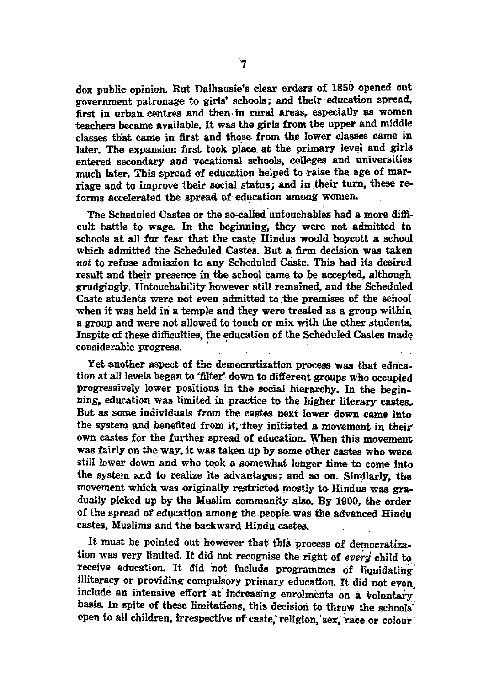dox public-opinion. But Dalhausie's clear orders of 1850 opened out government patronage to girls' schools; and their -education spread, first in urban. centres and then· in rural areas. especially as women teachers became available. It was the girls from the upper and middle classes that came in first and those from the lower classes came in later. The expansion first took place at the primary level and girls entered secondary and vocational schools, colleges and universities much later. This spread of education helped to raise the age of marriage and to improve their social status; and in their tum, these reforms accelerated the spread of education among women.

The Scheduled Castes or the so-called' untouchables had a more difficult battle to wage. In the beginning, they were not admitted to schools at all for fear that the caste Hindus would boycott a school which admitted the Scheduled Castes. But a firm decision was taken *not* to refuse admission to any Scheduled Caste. This had its desired result and their presence in the school came to be accepted, although grudgingly. Untouchability however still remained, and the Scheduled Caste students were not even admitted to the premises of the school when it was held in a temple and they were treated as a group within a group and were not allowed to touch or mix with the other students. Inspite of these difficulties, tne education of the Scheduled Castes made considerable progress.

Yet another aspect of the demecratization process was that education at all levels began to 'filter' down to different groups who occupied progressively lower positions in the social hierarchy. In the beginning, education was limited in practice to the higher literary castes. But as some individuals from the castes next lower down came into the system and benefited from it, they initiated a movement in their own castes for the further spread of education. When this movement. was fairly on the way. it was taken up by some other castes who were' still lower down and who took a somewhat longer time to come into the system and to realize its advantages; and so on. Similarly, the movement which was originally restricted mostly to Hindus was gradually picked up by the Muslim community also. By 1900, the order of the spread of education among the people was the advanced Hindu! castes, Muslims and the backward Hindu castes.  $\mathbf{I}$ 

It must be pointed out however that this process of democratization was very limited. It did not recognise the right of *every* child to receive education. It did not include programmes of liquidating illiteracy or providing compulsory primary education. It did not even include an intensive effort at increasing enrolments on a voluntary basis. In spite of these limitations, this decision to throw the schools' open to all children, irrespective of caste, religion, sex, race or colour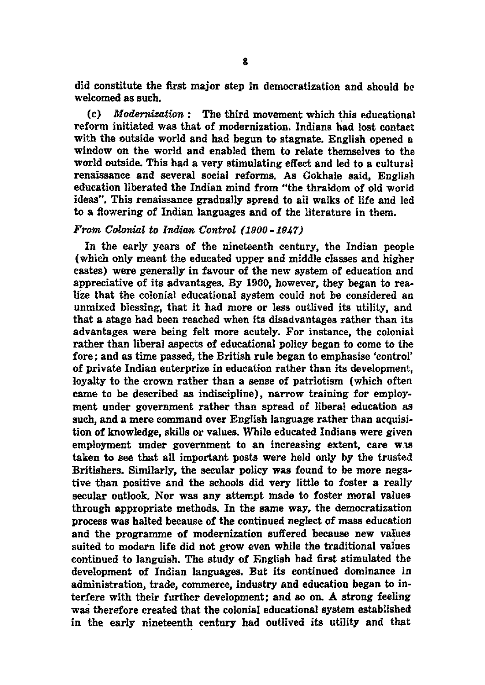did constitute the first major step in democratization and should be. welcomed as such.

(c) *Modernization:* The third movement which this educational reform initiated was that of modernization. Indians had lost contact with the outside world and had begun to stagnate. English opened a window on the world and enabled them to relate themselves to the world outside. This had a very stimulating effect and led to a cultural renaissance and several social reforms. As Gokhale said, English education liberated the Indian mind from "the thraldom of old world ideas". This renaissance gradually spread to alI walks of life and led to a flowering of Indian languages and of the literature in them.

# *From Colonial to Indian Control (1900 -1947)*

In the early years of the nineteenth century, the Indian people (which only meant the educated upper and middle classes and higher castes) were generally in favour of the new system of education and appreciative of its advantages. By 1900, however, they began to realize that the colonial educational system could not be considered an unmixed blessing, that it had more or less outlived its utility, and that a stage had been reached when its disadvantages rather than its advantages were being felt more acutely. For instance, the colonial rather than liberal aspects of educational policy began to come to the fore; and as time passed, the British rule began to emphasise 'control' of private Indian enterprize in education rather than its development, loyalty to the crown rather than a sense of patriotism (which often came to be described as indiscipline), narrow training for employment under government rather than spread of liberal education as such, and a mere command over English language rather than acquisition of knowledge, skills or values. While educated Indians were given employment under government to an increasing extent, care w 18 taken to see that all important posts were held only by the trusted Britishers. Similarly, the secular policy was found to be more negative than positive and the schools did very little to foster a really secular outlook. Nor was any attempt made to foster moral values through appropriate methods. In the same way, the democratization process was halted because of the continued neglect of mass education and the programme of modernization suffered because new values suited to modern life did not grow even while the traditional values continued to languish. The study of English had first stimulated the development of Indian languages. But its continued dominance in administration, trade, commerce, industry and education began to interfere with their further development; and so on. A strong feeling was therefore created that the colonial educational system established in the early nineteenth century had outlived its utility and that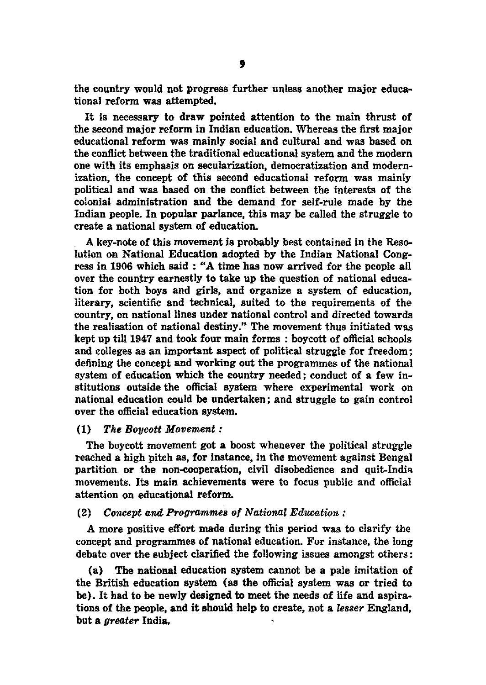the country would not progress further unless another major educational reform was attempted.

It is necessary to draw pointed attention to the main thrust of the second major reform in Indian education. Whereas the first major educational reform was mainly social and cultural and was based on the conflict between the traditional educational system and the modern one with its emphasis on secularization, democratization and modernization, the concept of this second educational reform was mainly political and was based on the conflict between the interests of the colonial administration and the demand for self-rule made by the Indian people. In popular parlance, this may be called the struggle to create a national system of education.

A key-note of this movement is probably best contained in the Resolution on National Education adopted by the Indian National Congress in 1906 which said : "A time has now arrived for the people all over the country earnestly to take up the question of national education for both boys and girls, and organize a system of education, literary, scientific and technical, suited to the requirements of the country, on national lines under national control and directed towards the realisation of national destiny." The movement thus initiated was kept up till 1947 and took four main forms : boycott of official schopls and colleges as an important aspect of political struggle for freedom; defining the concept and working out the programmes of the national system of education which the country needed; conduct of a few institutions outside the official system where experimental work on national education could be undertaken; and struggle to gain control over the official education system.

## (1) *The Boycott Movement:*

The boycott movement got a boost whenever the political struggle reached a high pitch as, for instance, in the movement against Bengal partition or the non-cooperation, civil disobedience and quit-India movements. Its main achievements were to focus public and official attention on educational reform.

# $(2)$  Concept and Programmes of National Education :

A more positive effort made during this period was to clarify the concept and programmes of national education. For instance, the long debate over the subject clarified the following issues amongst others:

(a) The national education system cannot be a pale imitation of the British education system (as the official system was or tried to be). It had to be newly designed to meet the needs of life and aspirations of the people, and it should help to create, not a *le8ser* England, but a *greater* India.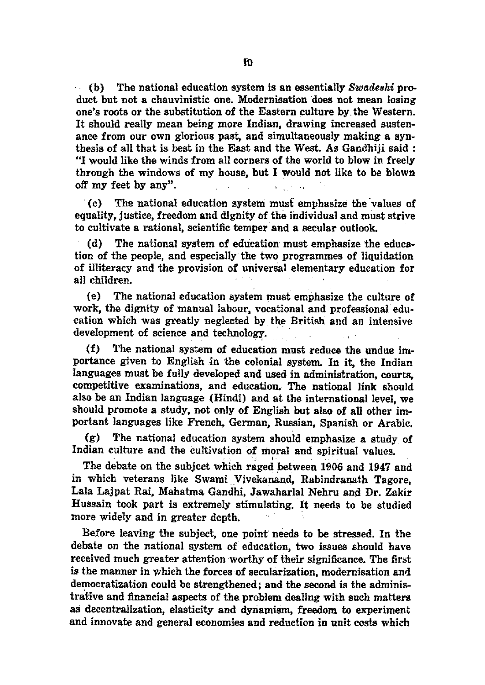(b) The national education system is an essentially *Swade8hi* product but not a chauvinistic one. Modernisation does not mean losing one's roots or the substitution of the Eastern culture by, the Western. It should really mean being more Indian, drawing increased sustenance from our own glorious past, and simultaneously making a synthesis of all that is best in the East and the West. As Gandbiji said: "I would like the winds from all corners of the world to blow in freely through the windows of my house, but I would not like to be blown off my feet by any".  $\mathbf{E} = \mathbf{E} \times \mathbf{E}$  . Let

'(c) The national education system must emphasize the "values of equality, justice, freedom and dignity of the individual and must strive to cultivate a rational, scientific temper and a secular outlook.

(d) The national system of education must emphasize the education of the people, and especially the two programmes of liquidation of illiteracy and the provision of universal elementary education for all children.

(e) The national education system must emphasize the culture of work, the dignity of manual labour, vocational and professional education which was greatly neglected by the British and an intensive development of science and technology.

(f) The national system of education must reduce the undue importance given to English in the colonial system. In it, the Indian languages must be fully developed and used in administration, courts, competitive examinations, and education. The national link should also be an Indian language (Hindi) and at the international level, we should promote a study, not only of English but also of all other important languages like French, German, Russian, Spanish or Arabic.

(g) The national education system should emphasize a study of Indian culture and the cultivation of moral and spiritual values.

The debate on the subject which raged between 1906 and 1947 and in which veterans like Swami Vivekanand, Rabindranath Tagore, Lala Lajpat Rai, Mahatma Gandhi, Jawaharlal Nehru and Dr. Zakir Hussain took part is extremely stimulating. It needs to be studied more widely and in greater depth.

Before leaving the subject, one point needs to be stressed. In the debate on the national system of education, two issues should have received much greater attention worthy of their significance. The first is the manner in which the forces of secularization, modernisation and democratization could be strengthened; and the second is the administrative and financial aspects of the problem dealing with such matters as decentralization, elasticity and dyriamism, freedom to experiment and innovate and general economies and reduction in unit costs which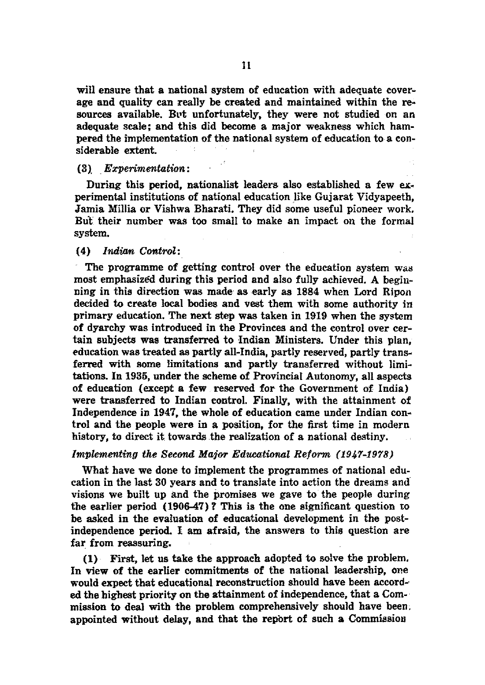will ensure that a national system of education with adequate coverage and quality can really be created and maintained within the resources available. But unfortunately, they were not studied on an adequate scale; and this did become a major weakness which hampered the implementation of the national system of education to a considerable extent.

# (3), . *Experimentation:*

During this period, nationalist leaders also established a few eKperimental institutions of national education like Gujarat Vidyapeeth, Jamia Millia or Vishwa Bharati. They did some useful pioneer work. But their number was too small to make an impact on the formal system.

# (4) Indian Control:

The programme of getting control over the education system was most emphasized during this period and also fully achieved. A beginning in this direction was made as early as 1884 when Lord Ripon decided to create local bodies and vest them with some authority in primary education. The next step was taken in 1919 when the system of dyarchy was introduced in the Provinces and the control over certain subjects was transferred to Indian Ministers. Under this plan, education was treated as partly all-India, partly reserved, partly transferred with some limitations and partly transferred without limitations. In 1936, under the scheme of Provincial Autonomy, all aspects of education (except a few reserved for the Government of India) were transferred to Indian control. Finally, with the attainment of Independence in 1947, the whole of education came under Indian control and the people were in a position, for the first time in modern history, to direct it towards the realization of a national destiny.

# *Implementing the Second Major Educational Reform (1947-1978)*

What have we done to implement the programmes of national education in the last 30 years and to translate into action the dreams and visions we built up and tbe promises we gave to the people during tbe earlier period (1906-47)? This is the one significant question to be asked in the evaluation of educational development in the postindependence period. I am afraid, the answers to this question are far from reassuring.

(1) First, let us take tbe approacb adopted to solve the problem. In view of the earlier commitments of the national leadership, one would expect that educational reconstruction should have been accord-· ed the highest priority on the attainment of independence, that a Com-· mission to deal with the problem comprehensively should have been; appointed without delay, and that the report of such a Commission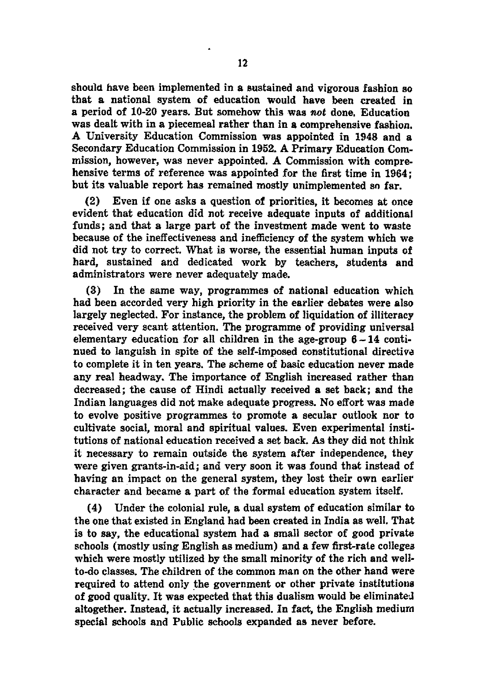should have been implemented in a sustained and vigorous fashion so that a national system of education would have been created in a period of 10-20 years. But somehow this was not done. Education was dealt with in a piecemeal rather than in a comprehensive fashion. A University Education Commission was appointed in 1948 and a Secondary Education Commission in 1952. A Primary Education Commission, however, was never appointed. A Commission with comprehensive terms of reference was appointed for the first time in 1964; but its valuable report has remained mostly unimplemented so far.

(2) Even if one asks a question of priorities, it becomes at once evident that education did not receive adequate inputs of additional funds; and that a large part of the investment made went to waste because of the ineffectiveness and inefficiency of the system which we did not try to correct. What is worse, the essential human inputs of hard, sustained and dedicated work by teachers, students and administrators were never adequately made.

(3) In the same way, programmes of national education which had been accorded very high priority in the earlier debates were also largely neglected. For instance, the problem of liquidation of illiteracy received very scant attention. The programme of providing universal elementary education for all children in the age-group  $6 - 14$  continued to languish in spite of the self-imposed constitutional directive to complete it in ten years. The scheme of basic education never made any real headway. The importance of English increased rather than decreased; the cause of Hindi actually received a set back; and the Indian languages did not make adequate progress. No effort was made to evolve positive programmes to promote a secular outlook nor to cultivate social, moral and spiritual values. Even experimental institutions of national education received a set back. As they did not think it necessary to remain outside the system after independence, they were given grants-in-aid; and very soon it was found that instead of having an impact on the general system, they lost their own earlier character and became a part of the formal education system itself.

(4) Under the colonial rule, a dual system of education similar to the one that existed in England had been created in India as well. That is to say, the educational system had a small sector of good private schools (mostly using English as medium) and a few first-rate colleges which were mostly utilized by the small minority of the rich and wellto-do classes. The children of the common man on the other hand were required to attend only the government or other private institutions of good quality. It was expected that this dualism would be eliminated altogether. Instead, it actually increased. In fact, the English medium special schools and Public schools expanded as never before.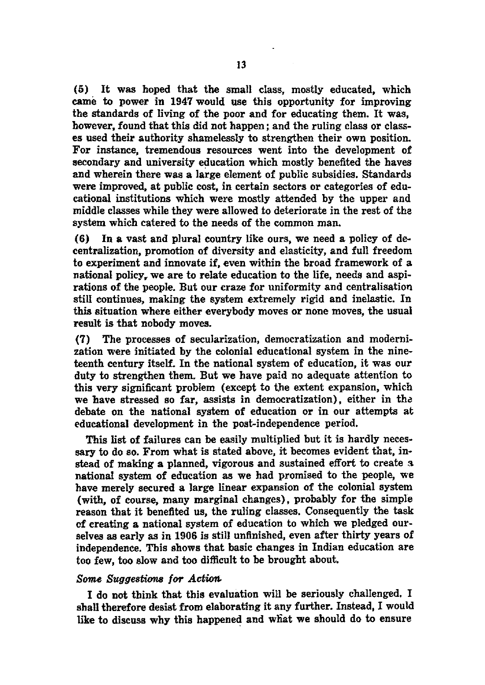(5) It was hoped that the small class, mostly educated, which came to power in 1947 would use this opportunity for improving the standards of living of the poor and for educating them. It was, however, found that this did not happen; and the ruling class or classes used their authority shamelessly to strengthen their own position. For instance, tremendous resources went into the development of secondary and university education which mostly benefited the haves and wherein there was a large element of public subsidies. Standards were improved, at public cost, in certain sectors or categories of educational institutions which were mostly attended by the upper and middle classes while they were allowed to deteriorate in the rest of the system which catered to the needs of the common man.

(6) In a vast and plural country like ours, we need a policy of decentralization, promotion of diversity and elasticity, and full freedom to experiment and innovate if, even within the broad framework of a national policy. we are to relate education to the life, needs and aspirations of the people. But our craze for uniformity and centralisation still continues, making the system extremely rigid and inelastic. In this situation where either everybody moves or none moves, the usual result is that nobody moves.

(7) The processes of secularization, democratization and modernization were initiated by the colonial educational system in the nineteenth century itself. In the national system of education, it was our duty to strengthen them. But we have paid no adequate attention to this very significant problem (except to the extent expansion, which we have stressed so far, assists in democratization), either in the debate on the national system of education or in our attempts at educational development in the post-independence period.

This list of failures can be easily multiplied but it is hardly necessary to do so. From what is stated above, it becomes evident that, instead of making a planned, vigorous and sustained effort to create a national system of education as we had promised to the people, we have merely secured a large linear expansion of the colonial system (with, of course, many marginal changes), probably for the simple reason that it benefited us, the ruling classes. Consequently the task of creating a national system of education to which we pledged ourselves as early as in 1906 is still unfinished, even after thirty years of independence. This shows that basic changes in Indian education are too few, too slow and too difficult to be brought about.

# Some Suggestions for Action.

I do not think that this evaluation will be seriously challenged. I shall therefore desist from elaborating it any further. Instead, I would like to discuss why this happened and what we should do to ensure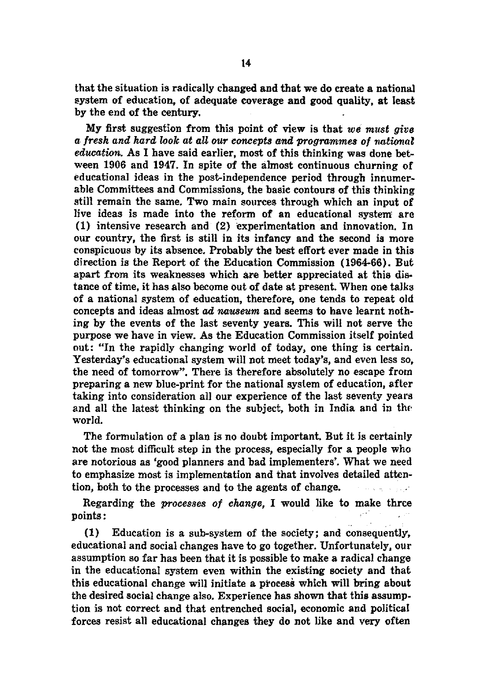that the situation is radically changed and that we do create a national system of education, of adequate coverage and good quality, at least by the end of the century.

My first suggestion from this point of view is that *we must give a fresh and hard look at aU our ccmcepts ami programmes of national education.* As I have said earlier, most of this thinking was done between 1906 and 1947. In spite of the almost continuous churning of educational ideas in the post-independence period through innumerable Committees and Commissions, the basic contours of this thinking still remain the same. Two main sources through which an input of live ideas is made into the reform of an educational system are (1) intensive research and (2) experimentation and innovation. In our country, the first is still in its infancy and the second is more conspicuous by its absence. Probably the best effort ever made in this direction is the Report of the Education Commission (1964-66). But apart from its weaknesses which are better appreciated at this distance of time, it has also become out of date at present. When one talks of a national system of education, therefore, one tends to repeat old concepts and ideas almost ad *nauseum* and seems to have learnt nothing by the events of the last seventy years. This will not serve the purpose we have in view. As the Education Commission itself pointed out: "In the rapidly changing world of today, one thing is certain. Yesterday's educational system will not meet today's, and even less so, the need of tomorrow". There is therefore absolutely no escape from preparing a new blue-print for the national system of education, after taking into consideration all our experience of the last seventy years and all the latest thinking on the subject, both in India and in the world.

The formulation of a plan is no doubt important. But it is certainly not the most difficult step in the process, especially for a people who are notorious as 'good planners and bad implementers'. What we need to emphasize most is implementation and that involves detailed attention, both to the processes and to the agents of change.

Regarding the *processes of change*, I would like to make three points:

(1) Education is a sub-system of the society; and consequently, educational and social changes have to go together. Unfortunately. our assumption so far has been that it is possible to make a radical change in the educational system even within the existing society and that this educational change will initiate a process which will bring about the desired social change also. Experience has shown that this assumption is not correct and that entrenched social, economic and political forces resist all educational changes they do not like and very often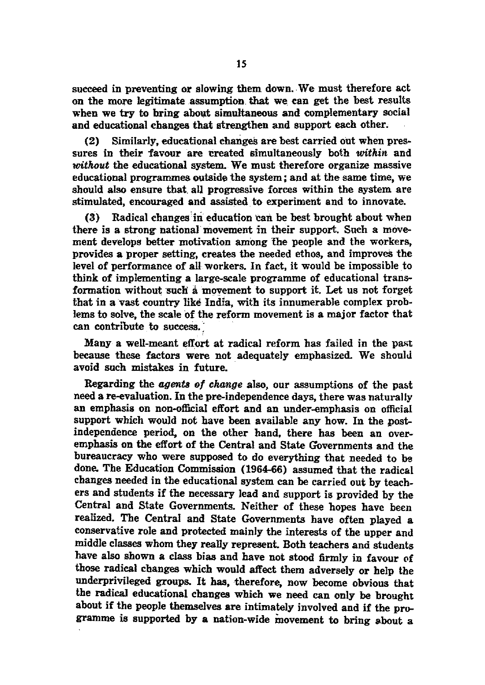succeed in preventing or slowing them down. We must therefore act on the more legitimate assumption that we. can get the best results when we try to bring about simultaneous and complementary social and educational changes that strengthen and support each other.

 $(2)$  Similarly, educational changes are best carried out when pressures in their favour are created simultaneously both *witkin* and without the educational system. We must therefore organize massive educational programmes outside the system; and at the same time, we should also ensure that. all progressive forces within the system are stimulated, encouraged and assisted. to experiment and to innovate.

 $(3)$  Radical changes in education can be best brought about when there is a strong' national movement in their support. Such a movement develops better motivation among the people and the workers, provides a proper setting, creates the needed ethos, and improves the level of performance of all workers. In fact, it would be impossible to think of implementing a large-scale programme of educational transformation without such a movement to support it. Let us not forget that in avast country like India, with its innumerable complex problems to solve, the scale of the reform movement is a major factor that can contribute to success.'

Many a well-meant effort at radical reform has failed in the past because these factors were not adequately emphasized. We should avoid such mistakes in future.

Regarding the *agents of change* also, our assumptions of the past need a re-evaluation. In the pre-independence days, there was naturally an emphasis on non-official effort and an under-emphasis on official support which would not have been available any how. In the postindependence period. on the other hand. there has been an overemphasis on the effort of the Central and State Governments and the bureaucracy who were supposed to do everything that needed to be done. The Education Commission (1964-66) assumed that the radical changes needed in the educational system can be carried out by teachers and students if the necessary lead and support is provided by the Central and State Governments. Neither of these hopes have been realized. The Central and State Governments have often played a conservative role and protected mainly the interests of the upper and middle classes whom they really represent. Both teachers and students have also shown a class bias and have not stood firmly in favour of those radical changes which would affect them adversely or help the underprivileged groups. It has, therefore, now become obvious that the radical educational changes which we need can only be brought about if the people themselves are intimately involved and if the programme is supported by a nation-wide movement to bring about a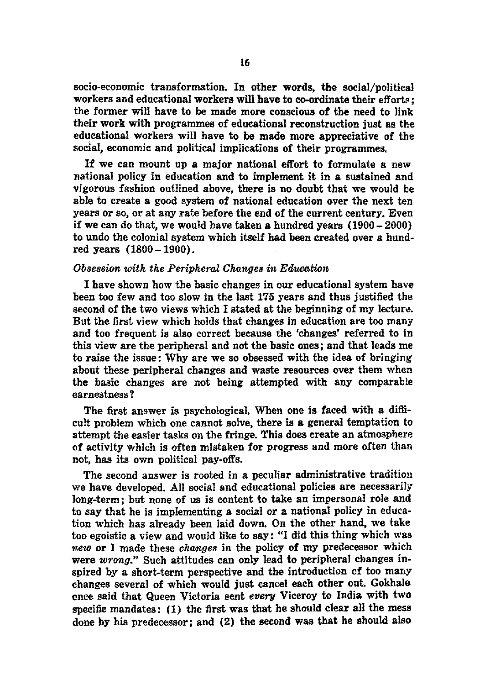5Ocio-economic transformation. In other words, the social/political workers and educational workers will have to co-ordinate their efforts: the former will have to be made more conscious of the need to link their work with programmes of educational reconstruction just as the educational workers will have to be made more appreciative of the sodal, economic and political implications of their programmes.

If we can mount up a major national effort to formulate a new national policy in education and to implement it in a sustained and vigorous fashion outlined above, there is no doubt that we would be able to create a good system of national education over the next ten years or so, or at any rate before the end of the current century. Even if we can do that, we would have taken a hundred years (1900 - 2000) to undo the colonial system which itself had been created over a hundred years (1800-1900).

# *Obsession with the Peripheral Changes in Education*

I have shown how the basic changes in our educational system have been too few and too slow in the last 175 years and thus justified the second of the two views which I stated at the beginning of my lecture. But the first view which holds that changes in education are too many and too frequent is also correct because the 'changes' referred to in this view are the peripheral and not the basic ones; and that leads me to raise the issue: Why are we 50 obsessed with the idea of bringing about these peripheral changes and waste resources over them when the basic changes are not being attempted with any comparable earnestness?

The first answer is psychological. When one is faced with a diflicult problem which one cannot solve, there is a general temptation to attempt the easier tasks on the fringe. This does create an atmosphere of activity which is often mistaken for progress and more often than not, has its own political pay-offs.

The second answer is rooted in a peculiar administrative tradition we have developed. All social and educational policies are necessarily long-term; but none of us is content to take an impersonal role and to say that he is implementing a social or a national policy in education which has already been laid down. On the other hand, we take too egoistic a view and would like to say: "I did this thing which was *new* or I made these *chwnges* in the policy of my predecessor which were *wrong."* Such attitudes can only lead to peripheral changes inspired by a short-term perspective and the introduction of too many changes several of which would just cancel each other out. Gokhale ence said that Queen Victoria sent *every* Viceroy to India with two specific mandates: (1) the first was that he should clear all the mess done by his predecessor; and (2) the second was that he should also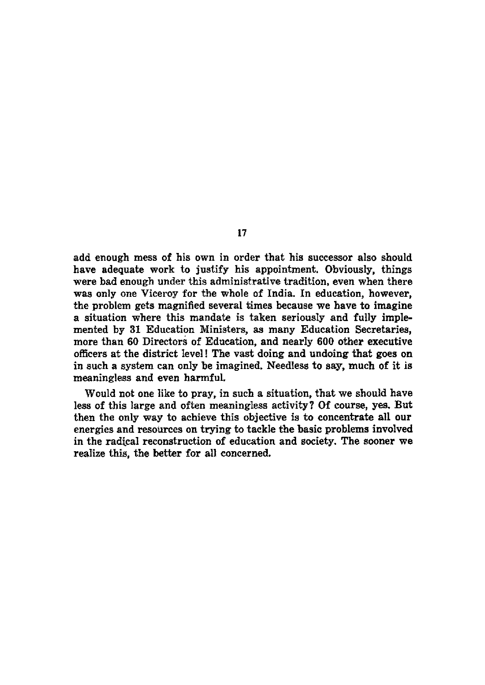add enough mess of his own in order that his successor also should have adequate work to justify his appointment. Obviously, things were bad enough under this administrative tradition, even when there was only one Viceroy for the whole of India. In education, however, the problem gets magnified several times because we have to imagine a situation where this mandate is taken seriously and fully implemented by 31 Education Ministers, as many Education Secretaries, more than 60 Directors of Education, and nearly 600 other executive officers at the district level! The vast doing and undoing that goes on in such a system can only be imagined. Needless to say, much of it is meaningless and even harmful.

Would not one like to pray, in such a situation, that we should have less of this large and often meaningless activity? Of course, yes. But then the only way to achieve this objective is to concentrate all our energies and resources on trying to tackle the basic problems involved in the radical reconstruction of education and society. The sooner we realize this, the better for all concerned.

11